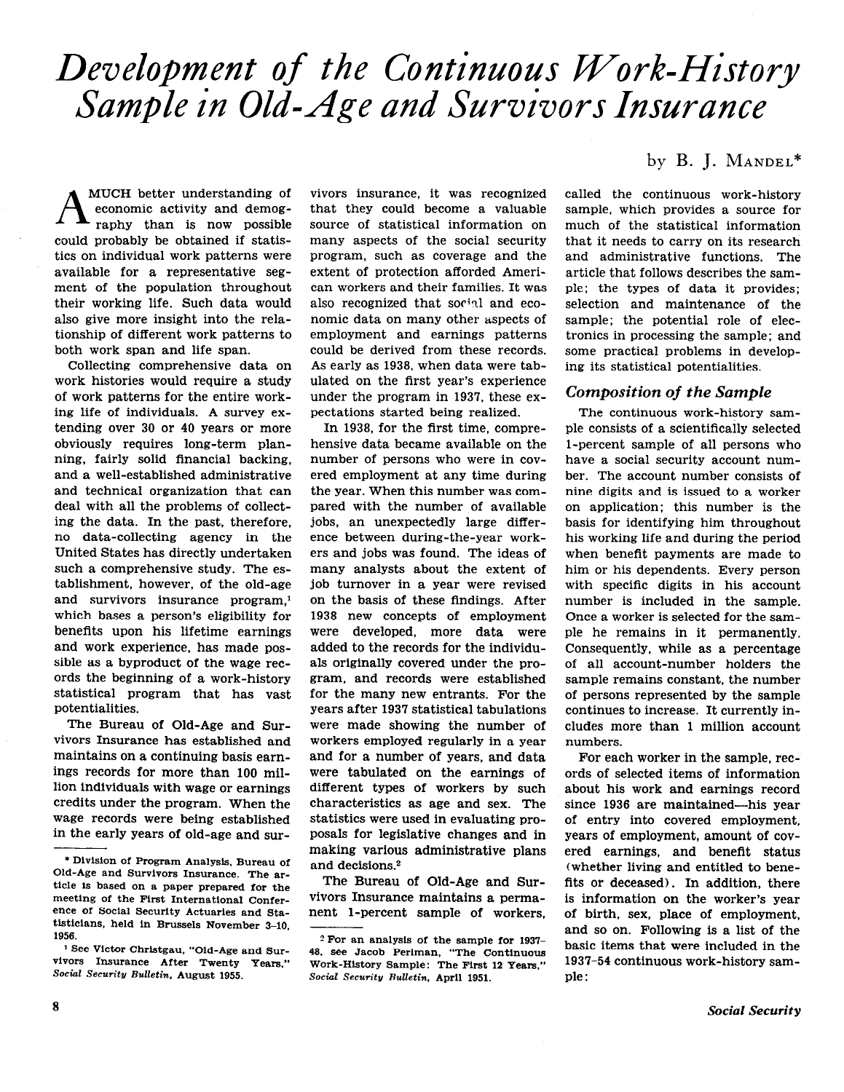# Development of the Continuous Work-History Sample in Old-Age and Survivors Insurance

MUCH better understanding of economic activity and demography than is now possible could probably be obtained if statistics on individual work patterns were available for a representative segment of the population throughout their working life. Such data would also give more insight into the relationship of different work patterns to both work span and life span.

Collecting comprehensive data on work histories would require a study of work patterns for the entire working life of individuals. A survey extending over 30 or 40 Years or more obviously requires long-term planning, fairly solid financial backing, and a well-established administrative and technical organization that can deal with all the problems of collecting the data. In the past, therefore, no data-collecting agency in the United States has directly undertaken such a comprehensive study. The establishment, however, of the old-age and survivors insurance program,' which bases a person's eligibility for benefits upon his lifetime earnings and work experience, has made possible as a byproduct of the wage records the beginning of a work-history statistical program that has vast potentialities.

The Bureau of Old-Age and Survivors Insurance has established and maintains on a continuing basis earnings records for more than 100 million individuals with wage or earnings credits under the program. When the wage records were being established in the early years of old-age and survivors insurance, it was recognized that they could become a valuable source of statistical information on many aspects of the social security program, such as coverage and the extent of protection afforded American workers and their families. It was also recognized that social and economic data on many other aspects of employment and earnings patterns could be derived from these records. As early as 1938, when data were tabulated on the first year's experience under the program in 1937, these expectations started being realized.

In 1938, for the first time, comprehensive data became available on the number of persons who were in covered employment at any time during the year. When this number was compared with the number of available jobs, an unexpectedly large difference between during-the-year workers and jobs was found. The ideas of many analysts about the extent of job turnover in a year were revised on the basis of these findings. After 1938 new concepts of employment were developed, more data were added to the records for the individuals originally covered under the program, and records were established for the many new entrants. For the years after 1937 statistical tabulations were made showing the number of workers employed regularly in a year and for a number of years, and data were tabulated on the earnings of different types of workers by such characteristics as age and sex. The statistics were used in evaluating proposals for legislative changes and in making various administrative plans and decisions.2

The Bureau of Old-Age and Survivors Insurance maintains a permanent l-percent sample of workers,

# by B. J. MANDEL\*

called the continuous work-history sample, which provides a source for much of the statistical information that it needs to carry on its research and administrative functions. The article that follows describes the sample: the types of data it provides; selection and maintenance of the sample; the potential role of electronics in processing the sample; and some practical problems in developing its statistical potentialities.

# Composition of the Sample

The continuous work-history sample consists of a scientifically selected l-percent sample of all persons who have a social security account number. The account number consists of nine digits and is issued to a worker on application: this number is the basis for identifying him throughout his working life and during the period when benefit payments are made to him or his dependents. Every person with specific digits in his account number is included in the sample. Once a worker is selected for the sample he remains in it permanently. Consequently, while as a percentage of all account-number holders the sample remains constant, the number of persons represented by the sample continues to increase. It currently includes more than 1 million account numbers.

For each worker in the sample, records of selected items of information about his work and earnings record since 1936 are maintained-his year of entry into covered employment, years of employment, amount of covered earnings, and benefit status (whether living and entitled to benefits or deceased). In addition, there is information on the worker's year of birth, sex, place of employment, and so on. Following is a list of the basic items that were included in the 1937-54 continuous work-history sample :

<sup>\*</sup> Division of Program Analysis. Bureau of Old-Age and Survivors Insurance. The article is based on a paper prepared for the meeting of the First International Conference Of SOClal Security Actuaries and Statisticians, held in Brussels November 3-10, 1956.

<sup>&</sup>lt;sup>1</sup> See Victor Christgau, "Old-Age and Survivors Insurance After Twenty Years." Social Security Bulletin, August 1955.

<sup>2</sup> For an analysis of the sample for 1937- 49. see Jacob Perlman. "The Continuous Work-History Sample: The First 12 Years," Social Security Rulletin, Aprll 1951.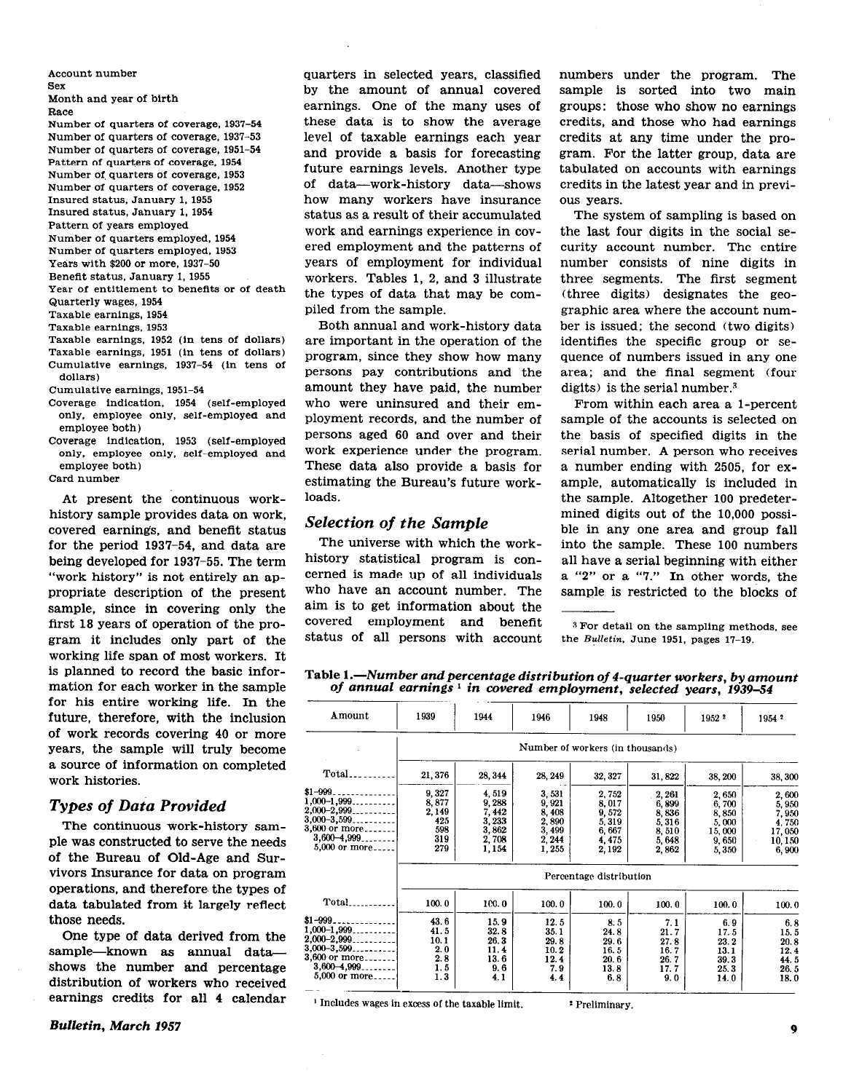Account number Sex Month and year of birth Race Number of quarters of coverage, 1937-54 Number of quarters of coverage, 1937-53 Number of quarters of coverage, 1951-54 Pattern of quarters of coversge. 1954 Number of quarters of coverage, 1953 Number of quarters of coverage, 1952 Insured status, January 1. 1955 Insured status, Jahuary 1, 1954 Pattern of years employed Number of quarters employed. 1954 Number of quarters employed, 1953 Years with \$200 or more, 1937-50 Beneflt status, January 1, 1955 Year of entitlement to benefits or of death Quarterly wages, 1954 Taxable earnings, 1954 Taxable earnings, 1953 Taxable earnings, 1952 (in tens of dollars) Taxable earnings, 1951 (in tens of dollars) Cumulative earnings, 1937-54 (in tens of dollars) Cumulative earnings, 1951-54 Coverage indication, 1954 (self-employed only, employee only, self-employed and employee both) Coverage indication, 1953 (self-employed only. employee only, self-employed and

employee both) Card number

At present the continuous workhistory sample provides data on work, covered earnings, and benefit status for the period 1937-54, and data are being developed for 1937-55. The term "work history" is not entirely an appropriate description of the present sample, since in covering only the first 18 years of operation of the program it includes only part of the working life span of most workers. It is planned to record the basic information for each worker in the sample for his entire working life. In the future, therefore, with the inclusion of work records covering 40 or more years, the sample will truly become a source of information on completed work histories.

## Types of Data Provided

The continuous work-history sample was constructed to serve the needs of the Bureau of Old-Age and Survivors Insurance for data on program operations, and therefore. the types of data tabulated from it largely reflect those needs.

One type of data derived from the sample-known as annual datashows the number and percentage distribution of workers who received earnings credits for all 4 calendar

quarters in selected years, classified by the amount of annual covered earnings. One of the many uses of these data is to show the average level of taxable earnings each year and provide a basis for forecasting future earnings levels. Another type of data-work-history data-shows how many workers have insurance status as a result of their accumulated work and earnings experience in covered employment and the patterns of years of employment for individual workers. Tables 1, 2, and 3 illustrate the types of data that may be compiled from the sample.

Both annual and work-history data are important in the operation of the program, since they show how many Persons pay contributions and the amount they have paid, the number who were uninsured and their employment records, and the number of persons aged 60 and over and their work experience under the program. These data also provide a basis for estimating the Bureau's future workloads.

## Selection of the Sample

The universe with which the workhistory statistical program is concerned is made up of all individuals who have an account number. The aim is to get information about the covered employment and benefit status of all persons with account numbers under the program. The sample is sorted into two main groups: those who show no earnings credits, and those who had earnings credits at any time under the program. For the latter group, data are tabulated on accounts with earnings credits in the latest year and in previous years.

The system of sampling is based on the last four digits in the social security account number. The entire number consists of nine digits in three segments. The first segment (three digits) designates the geographic area where the account number is issued; the second (two digits) identifies the specific group or sequence of numbers issued in any one area; and the final segment (four digits) is the serial number.<sup>3</sup>

From within each area a l-percent sample of the accounts is selected on the basis of specified digits in the serial number. A person who receives a number ending with 2505, for example, automatically is included in the sample. Altogether 100 predetermined digits out of the 10,000 possible in any one area and group fall into the sample. These 100 numbers all have a serial beginning with either a "2" or a "'7." In other words, the sample is restricted to the blocks of

s For detail on the sampling methods, see the Bulletin. June 1951, pages 17-19.

Table 1.—Number and percentage distribution of 4-quarter workers, by amount of annual earnings<sup>1</sup> in covered employment, selected years, 1939-54

| Amount                                                                                                                | 1939                                                | 1944                                                         | 1946                                                         | 1948                                                        | 1950                                                        | 1952 2                                                       | 1954 2                                                        |  |  |  |  |
|-----------------------------------------------------------------------------------------------------------------------|-----------------------------------------------------|--------------------------------------------------------------|--------------------------------------------------------------|-------------------------------------------------------------|-------------------------------------------------------------|--------------------------------------------------------------|---------------------------------------------------------------|--|--|--|--|
|                                                                                                                       | Number of workers (in thousands)                    |                                                              |                                                              |                                                             |                                                             |                                                              |                                                               |  |  |  |  |
| $Total$                                                                                                               | 21, 376                                             | 28, 344                                                      | 28, 249                                                      | 32, 327                                                     | 31,822                                                      | 38, 200                                                      | 38,300                                                        |  |  |  |  |
| $$1 - 999$<br>$1,000-1,999$<br>$2,000-2,999$<br>$3,000-3,599$<br>3,600 or more<br>$3,600 - 4,999$<br>5,000 or more    | 9,327<br>8,877<br>2,149<br>425<br>598<br>319<br>279 | 4,519<br>9,288<br>7, 442<br>3,233<br>3,862<br>2,708<br>1,154 | 3,531<br>9,921<br>8,408<br>2,890<br>3,499<br>2, 244<br>1,255 | 2.752<br>8,017<br>9,572<br>5,319<br>6,667<br>4,475<br>2,192 | 2,261<br>6,899<br>8,836<br>5,316<br>8,510<br>5,648<br>2,862 | 2,650<br>6,700<br>8,850<br>5,000<br>15,000<br>9,650<br>5,350 | 2,600<br>5,950<br>7,950<br>4,750<br>17,050<br>10,150<br>6,900 |  |  |  |  |
|                                                                                                                       | Percentage distribution                             |                                                              |                                                              |                                                             |                                                             |                                                              |                                                               |  |  |  |  |
| Total.                                                                                                                | 100.0                                               | 100.0                                                        | 100.0                                                        | 100.0                                                       | 100.0                                                       | 100.0                                                        | 100.0                                                         |  |  |  |  |
| $$1 - 999.$<br>$1,000-1,999$<br>$2,000 - 2,999$ .<br>$3,000-3,599$<br>3,600 or more<br>$3,600-4,999$<br>5,000 or more | 43.6<br>41.5<br>10.1<br>2.0<br>2.8<br>1, 5<br>1.3   | 15.9<br>32.8<br>26.3<br>11.4<br>13.6<br>9.6<br>41            | 12.5<br>35.1<br>29.8<br>10.2<br>12.4<br>7.9<br>4.4           | 8.5<br>24.8<br>29.6<br>16.5<br>20.6<br>13.8<br>6.8          | 7.1<br>21.7<br>27.8<br>16.7<br>26.7<br>17.7<br>9.0          | 6.9<br>17.5<br>23.2<br>13.1<br>39.3<br>25.3<br>14.0          | 6, 8<br>15.5<br>20.8<br>12.4<br>44.5<br>26.5<br>18.0          |  |  |  |  |

<sup>1</sup> Includes wages in excess of the taxable limit. \* Preliminary.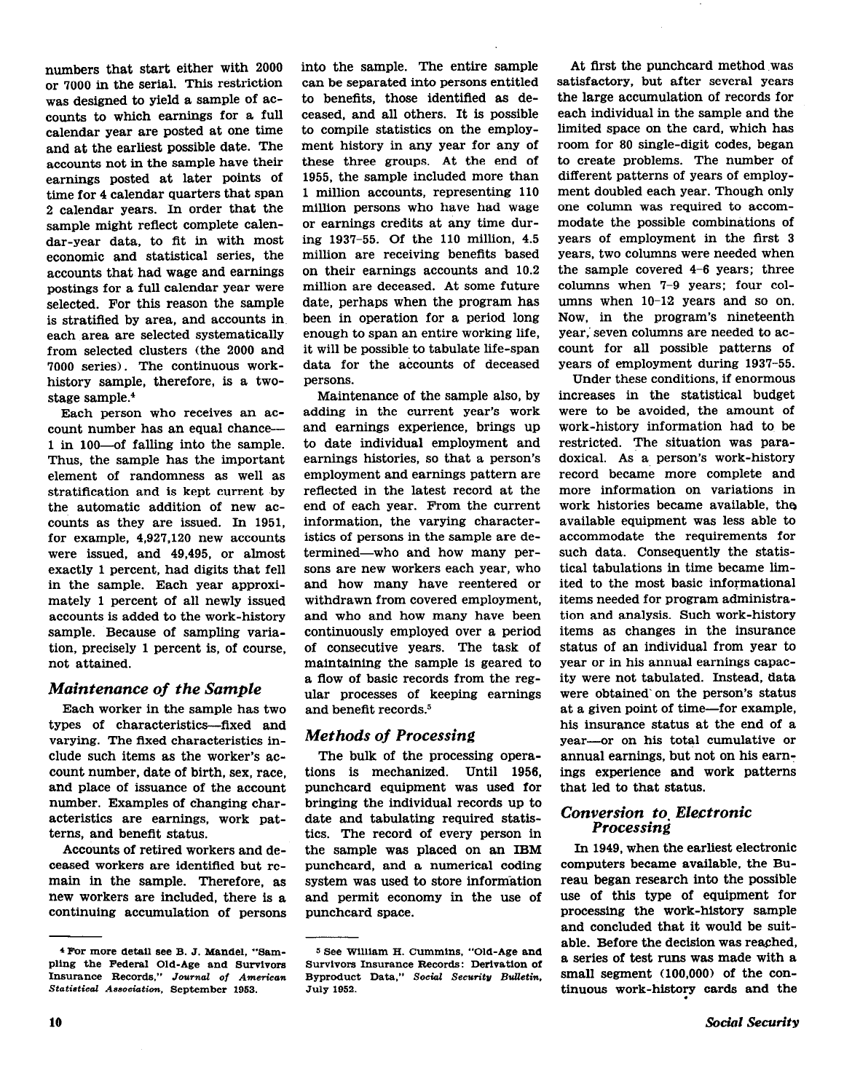numbers that start either with 2000 or 7000 in the serial. This restriction was designed to yield a sample of accounts to which earnings for a full calendar year are posted at one time and at the earliest possible date. The accounts not in the sample have their earnings posted at later points of time for 4 calendar quarters that span 2 calendar years. In order that the sample might reflect complete calendar-year data, to fit in with most economic and statistical series, the accounts that had wage and earnings postings for a full calendar year were selected. For this reason the sample is stratified by area, and accounts in each area are selected systematically from selected clusters (the 2000 and 7000 series). The continuous workhistory sample, therefore, is a twostage sample.4

Each person who receives an account number has an equal chancel in loo-of falling into the sample. Thus, the sample has the important element of randomness as well as stratification and is kept current by the automatic addition of new accounts as they are issued. In 1951, for example, 4,927,120 new accounts were issued, and 49,495, or almost exactly 1 percent, had digits that fell in the sample. Each year approximately 1 percent of all newly issued accounts is added to the work-history sample. Because of sampling variation, precisely 1 percent is, of course, not attained.

## Maintenance of the Sample

Each worker in the sample has two types of characteristics-fixed and varying. The fixed characteristics include such items as the worker's account number, date of birth, sex, race, and place of issuance of the account number. Examples of changing characteristics are earnings, work patterns, and benefit status.

Accounts of retired workers and deceased workers are identified but remain in the sample. Therefore, as new workers are included, there is a continuing accumulation of persons into the sample. The entire sample can be separated into persons entitled to benefits, those identified as deceased, and all others. It is possible to compile statistics on the employment history in any year for any of these three groups. At the end of 1955, the sample included more than 1 million accounts, representing 110 million persons who have had wage or earnings credits at any time during 1937-55. Of the 110 million, 4.5 million are receiving benefits based on their earnings accounts and 10.2 million are deceased. At some future date, perhaps when the program has been in operation for a period long enough to span an entire working life, it will be possible to tabulate life-span data for the accounts of deceased persons.

Maintenance of the sample also, by adding in the current year's work and earnings experience, brings up to date individual employment and earnings histories, so that a person's employment and earnings pattern are reflected in the latest record at the end of each year. From the current information, the varying characteristics of persons in the sample are determined-who and how many persons are new workers each year, who and how many have reentered or withdrawn from covered employment, and who and how many have been continuously employed over a period of consecutive years. The task of maintaining the sample is geared to a flow of basic records from the regular processes of keeping earnings and benefit records.<sup>5</sup>

# Methods of Processing

The bulk of the processing operations is mechanized. Until 1956, punchcard equipment was used for bringing the individual records up to date and tabulating required statistics. The record of every person in the sample was placed on an IBM punchcard, and a numerical coding system was used to store information and permit economy in the use of punchcard space.

At first the punchcard method was satisfactory, but after several years the large accumulation of records for each individual in the sample and the limited space on the card, which has room for 80 single-digit codes, began to create problems. The number of different patterns of years of employment doubled each year. Though only one column was required to accommodate the possible combinations of years of employment in the first 3 years, two columns were needed when the sample covered 4-6 years; three columns when 7-9 years; four columns when  $10-12$  years and so on. Now, in the program's nineteenth year; seven columns are needed to account for all possible patterns of years of employment during 1937-55.

Under these conditions, if enormous increases in the statistical budget were to be avoided, the amount of work-history information had to be restricted. The situation was paradoxical. As a, person's work-history record became more complete and more information on variations in work histories became available, the available equipment was less able to accommodate the requirements for such data. Consequently the statistical tabulations in time became limited to the most basic informational items needed for program administration and analysis. Such work-history items as changes in the insurance status of an individual from year to year or in his annual earnings capacity were not tabulated. Instead, data were obtained' on the person's status at a given point of time-for example, his insurance status at the end of a year-or on his total cumulative or annual earnings, but not on his earn: ings experience and work patterns that led to that status.

## Conversion to. Electronic Processing

In 1949, when the earliest electronic computers became available, the Bureau began research into the possible use of this type of equipment for processing the work-history sample and concluded that it would be suitable. Before the decision was reached<br>For more detail see B. J. Mandel, "Sam- <sup>5</sup> See William H. Cummins, "Old-Age and a sories of test mins was made with a tinuous work-history cards and the

Insurance Records," Journal of American Byproduct Data," Social Security Bulletin, Statistical Association, September 1953. July 1952.

Pling the Federal See D. J. Manuel, Sam-<br>Pling the Federal Old-Age and Survivors Insurance Records: Derivation of American Survivors Insurance Records. Derivation of American Byproduct Data," Social Security Bulletin, smal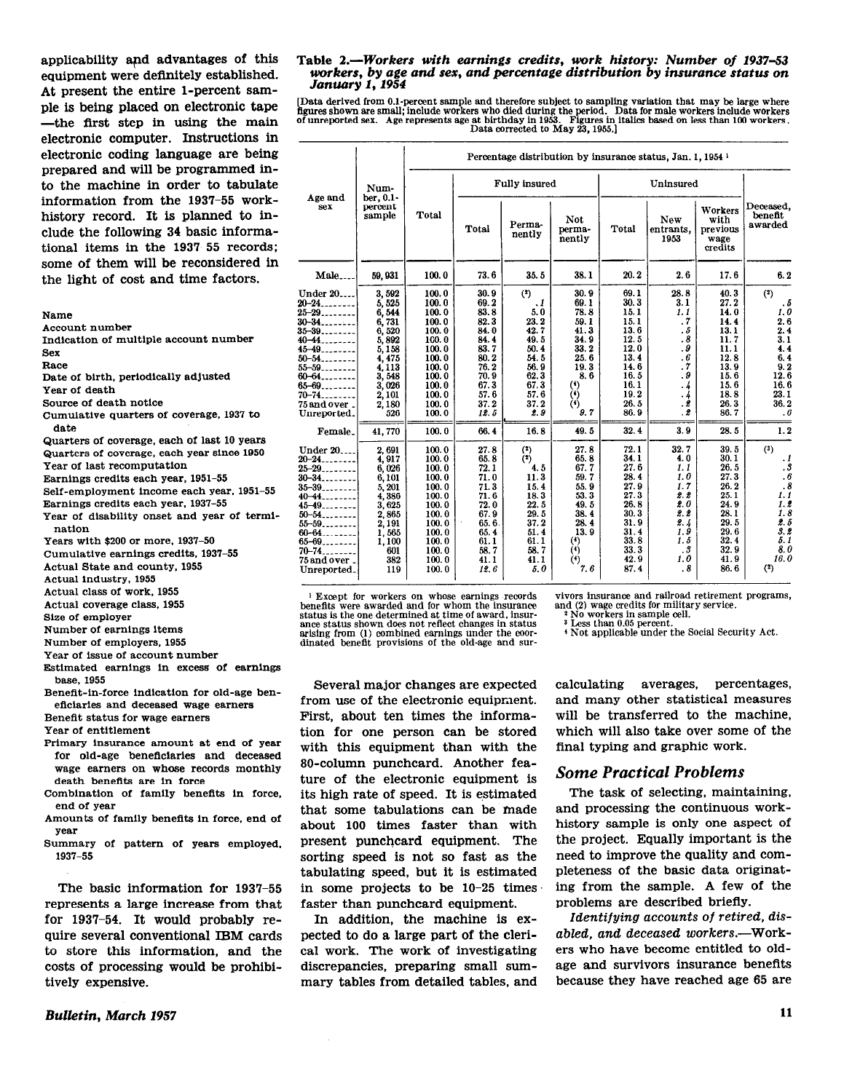applicability and advantages of this equipment were definitely established. At present the entire l-percent sample is being placed on electronic tape -the first step in using the main electronic computer. Instructions in electronic coding language are being prepared and will be programmed into the machine in order to tabulate information from the 1937-55 workhistory record. It is planned to include the following 34 basic informational items in the 1937-55 records; some of them will be reconsidered in the light of cost and time factors.

#### Name

Account number

Indication of multiple account number Sex

- Race
- Date of btrth. perlodlcally adjusted
- Year of death

Source of death notice

- Cumulative quarters of coverage, 1937 to
- date Female Quarters of coverage. each of last 10 years
- Quarters of coverage, each year since 1950
- Year of last recomputation
- Earnings credits each year, 1951-55
- Self-employment income each year, 1951-55 Earnings credits each year, 1937-55
- Year of disability onset and year of termi-
- nation Years with \$200 or more, 1937-50
- Cumulative earnings credits, 1937-55
- Actual State and county, 1955
- Actual industry, 1955
- Actual class of work, 1955
- Actual coverage class, 1955
- Size of employer
- Number of earnings ltems
- Number of employers, 1955
- Year of issue of account number
- Estimated earnings in excess of earnings base, 1955
- Beneflt-in-force indication for old-age beneficiaries and deceased wage earners

Beneflt status for wage earners

Year of entitlement

- Primary insurance amount at end of year for old-age beneflclaries and deceased wage earners on whose records monthly death benefits are in force
- Combination of family benefits in force, end of year
- Amounts of family benefits in force, end of year
- Summary of pattern of years employed, 1937-55

The basic information for 1937-55 represents a large increase from that for 1937-54. It would probably require several conventional IBM cards to store this information, and the costs of processing would be prohibitively expensive.

Bulletin, March 1957

## Table 2.-Workers with earnings credits, work history: Number of 1937-53 workers, by age and sex, and percentage distribution by insurance status on January 1, 1954

Data derived from 0.1-percent sample and therefore subject to sampling variation that may be large where<br>figures shown are small; include workers who died during the period. Data for male workers include workers<br>of unrepor

|                                                                                                                                                                                                                          |                                                                                                                                       | Percentage distribution by insurance status, Jan. 1, 1954 is                                                                        |                                                                                                                      |                                                                                                                                   |                                                                                                                                 |                                                                                                                      |                                                                                                          |                                                                                                                      |                                                                                                          |  |
|--------------------------------------------------------------------------------------------------------------------------------------------------------------------------------------------------------------------------|---------------------------------------------------------------------------------------------------------------------------------------|-------------------------------------------------------------------------------------------------------------------------------------|----------------------------------------------------------------------------------------------------------------------|-----------------------------------------------------------------------------------------------------------------------------------|---------------------------------------------------------------------------------------------------------------------------------|----------------------------------------------------------------------------------------------------------------------|----------------------------------------------------------------------------------------------------------|----------------------------------------------------------------------------------------------------------------------|----------------------------------------------------------------------------------------------------------|--|
| Age and<br>sex                                                                                                                                                                                                           | Num-<br>ber, 0.1-<br>percent<br>sample                                                                                                |                                                                                                                                     |                                                                                                                      | <b>Fully</b> insured                                                                                                              |                                                                                                                                 |                                                                                                                      |                                                                                                          |                                                                                                                      |                                                                                                          |  |
|                                                                                                                                                                                                                          |                                                                                                                                       | Total                                                                                                                               | Total                                                                                                                | Perma-<br>nently                                                                                                                  | Not<br>perma-<br>nently                                                                                                         | Total                                                                                                                | New<br>entrants,<br>1953                                                                                 | Workers<br>with<br>previous<br>wage<br>credits                                                                       | Deceased.<br>benefit<br>awarded                                                                          |  |
| $Male_{---}$                                                                                                                                                                                                             | 59,931                                                                                                                                | 100.0                                                                                                                               | 73.6                                                                                                                 | 35.5                                                                                                                              | 38.1                                                                                                                            | 20.2                                                                                                                 | 2.6                                                                                                      | 17.6                                                                                                                 | 6.2                                                                                                      |  |
| Under 20<br>$20 - 24$<br>$25 - 29$ .<br>$30 - 34$<br>$35 - 39$<br>$40 - 44$<br>$45 - 49$<br>$50 - 54$<br>$55 - 59$<br>$60 - 64$ .<br>$65 - 69$<br>$70 - 74$<br>75 and over<br>Unreported.<br>Female.                     | 3.502<br>5, 525<br>6,544<br>6,731<br>6,520<br>5,892<br>5,158<br>4, 475<br>4.113<br>3, 548<br>3.026<br>2,101<br>2.180<br>526<br>41.770 | 100.0<br>100.0<br>100.0<br>100.0<br>100.0<br>100.0<br>100.0<br>100.0<br>100.0<br>100.0<br>100.0<br>100.0<br>100.0<br>100.0<br>100.0 | 30.9<br>69.2<br>83.8<br>82.3<br>84.0<br>84.4<br>83.7<br>80.2<br>76.2<br>70.9<br>67.3<br>57.6<br>37.2<br>12.5<br>66.4 | (2)<br>$\cdot$ <sub>1</sub><br>5.0<br>23.2<br>42.7<br>49.5<br>50.4<br>54.5<br>56.9<br>62.3<br>67.3<br>57.6<br>37.2<br>2.9<br>16.8 | 30.9<br>69.1<br>78.8<br>59.1<br>41.3<br>34.9<br>33.2<br>25.6<br>19.3<br>8,6<br>$\binom{4}{4}$<br>$\ddot{\theta}$<br>9.7<br>49.5 | 69.1<br>30.3<br>15.1<br>15.1<br>13.6<br>12.5<br>12.0<br>13.4<br>14.6<br>16.5<br>16.1<br>19.2<br>26.5<br>86.9<br>32.4 | 28.8<br>3.1<br>1.1<br>$\cdot$<br>. 5<br>.8<br>. 9<br>.6<br>. 7<br>. 9<br>. 4<br>. 4<br>. 2<br>. 2<br>3.9 | 40.3<br>27.2<br>14.0<br>14.4<br>13.1<br>11.7<br>11.1<br>12.8<br>13.9<br>15.6<br>15.6<br>18.8<br>26.3<br>86.7<br>28.5 | (2)<br>. 5<br>1.0<br>2.6<br>2.4<br>3.1<br>4.4<br>6.4<br>9.2<br>12.6<br>16.6<br>23.1<br>36.2<br>.6<br>1.2 |  |
| Under $20$ <sub>---</sub><br>$20 - 24$<br>$25 - 29$<br>$30 - 34$<br>$35 - 39 - 32$<br>40 <del>-44</del> _______<br>$45 - 49$<br>$50 - 54$<br>$55 - 59$<br>$60 - 64$<br>65-69.<br>$70 - 74$<br>75 and over<br>Unreported. | 2,691<br>4,917<br>6,026<br>6.101<br>5,201<br>4,386<br>3,625<br>2.865<br>2,191<br>1.565<br>1,100<br>601<br>382<br>119                  | 100.0<br>100.0<br>100.0<br>100.0<br>100.0<br>100.0<br>100.0<br>100.0<br>100.0<br>100.0<br>100.0<br>100.0<br>100.0<br>100.0          | 27.8<br>65.8<br>72.1<br>71.0<br>71.3<br>71.6<br>72.0<br>67.9<br>65.6.<br>65.4<br>61.1<br>58.7<br>41.1<br>12.6        | (2)<br>(2)<br>4.5<br>11.3<br>15.4<br>18.3<br>22.5<br>29.5<br>37.2<br>51.4<br>61.1<br>58.7<br>41.1<br>5.0                          | 27.8<br>65.8<br>67.7<br>59.7<br>55.9<br>53.3<br>49.5<br>38.4<br>28.4<br>13.9<br>(4)<br>(4)<br>(4)<br>7.6                        | 72.1<br>34.1<br>27.6<br>28.4<br>27.9<br>27.3<br>26.8<br>30.3<br>31.9<br>31.4<br>33.8<br>33.3<br>42.9<br>87.4         | 32.7<br>4.0<br>1.1<br>1.0<br>1.7<br>2. 2<br>2.0<br>2.2<br>2.4<br>1.9<br>1.5<br>. 3<br>1.0<br>.8          | 39.5<br>30.1<br>26.5<br>27.3<br>26.2<br>25.1<br>24.9<br>28.1<br>29.5<br>29.6<br>32.4<br>32.9<br>41.9<br>86.6         | (3)<br>$\cdot$ 1<br>. 3<br>.6<br>.8<br>1.1<br>1.2<br>1.8<br>2. 5<br>3. 2<br>5. 1<br>8.0<br>16.0<br>(2)   |  |

<sup>1</sup> Except for workers on whose earnings records benefits were awarded and for whom the insurance status ls the one determined at time of award, insur-ance status shown does not reflect changes in status arising from (1) combined earnings under the eoordinated benefit provisions of the old-age and sur-

vlvors insurance and railroad retirement programs, and (2) wage credits for military service.  $*$  No workers in sample cell.<br> $*$  Less than 0.05 percent.

3 Less lhan 0.05 percent. 4 Not applicable under the Social Security Act.

Several major changes are expected from use of the electronic equipment. First, about ten times the information for one person can be stored with this equipment than with the 80-column punchcard. Another feature of the electronic equipment is its high rate of speed. It is estimated that some tabulations can be made about 100 times faster than with present punchcard equipment. The sorting speed is not so fast as the tabulating speed, but it is estimated in some projects to be  $10-25$  times faster than punchcard equipment.

pected to do a large part of the cleri- abled, and deceased workers.—Work-<br>cal work. The work of investigating ers who have become entitled to oldcal work. The work of investigating ers who have become entitled to old-<br>discrepancies, preparing small sum- age and survivors insurance benefits discrepancies, preparing small summary tables from detailed tables, and because they have reached age 65 are

calculating averages, percentages, and many other statistical measures will be transferred to the machine, which will also take over some of the final typing and graphic work.

# Some Practical Problems

The task of selecting, maintaining, and processing the continuous workhistory sample is only one aspect of the project. Equally important is the need to improve the quality and completeness of the basic data originating from the sample. A few of the problems are described briefly.

In addition, the machine is ex-<br>leteral disected to do a large part of the cleri-<br>abled, and deceased workers.—Work-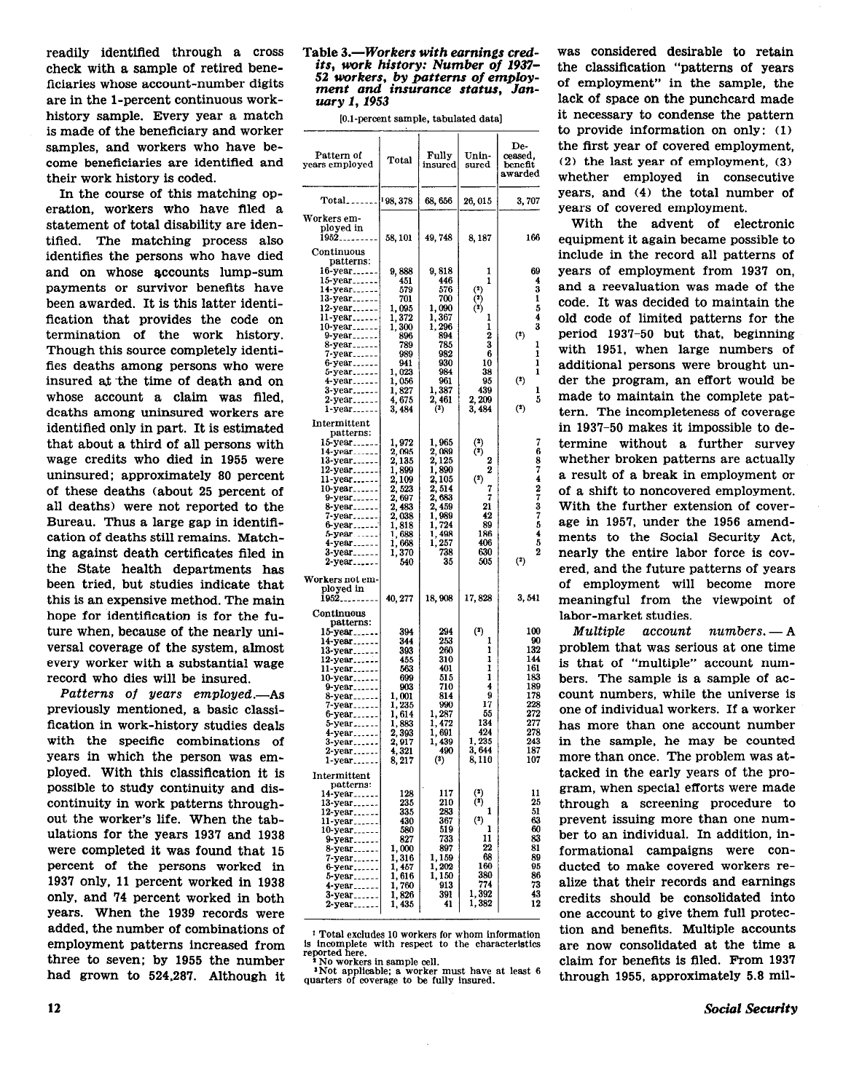readily identified through a cross check with a sample of retired beneficiaries whose account-number digits are in the l-percent continuous workhistory sample. Every year a match is made of the beneficiary and worker samples, and workers who have become beneficiaries are identified and their work history is coded.

In the course of this matching operation, workers who have filed a statement of total disability are identified. The matching process also identifies the persons who have died and on whose accounts lump-sum payments or survivor benefits have been awarded. It is this latter identification that provides the code on termination of the work history. Though this source completely identifies deaths among persons who were insured at the time of death and on whose account a claim was filed, deaths among uninsured workers are identified only in part. It is estimated that about a third of all persons with wage credits who died in 1955 were uninsured; approximately 80 percent of these deaths (about 25 percent of all deaths) were not reported to the Bureau. Thus a large gap in identification of deaths still remains. Matching against death certificates filed in the State health departments has been tried, but studies indicate that this is an expensive method. The main hope for identification is for the future when, because of the nearly universal coverage of the system, almost every worker with a substantial wage record who dies will be insured.

Patterns of years employed.-As previously mentioned, a basic classification in work-history studies deals with the specific combinations of years in which the person was employed. With this classification it is possible to study continuity and discontinuity in work patterns throughout the worker's life. When the tabulations for the years 1937 and 1938 were completed it was found that 15 Percent of the persons worked in 1937 OnlY, 11 percent worked in 1938 only, and 74 Percent worked in both Years. When the 1939 records were added, the number of combinations of employment patterns increased from three to seven; by 1955 the number had grown to 524,287. Although it

## Table 3.-Workers with earnings credits, work history: Number of 1937- 52 workers, by patterns of employment and insurance status, January 1, 1953

[O.l-percent sample, tabulated data]

| Pattern of<br>years employed                                                                                                                                                                         | Total                                                                                                                                | Fully<br>insured                                                                                                                         | Unin-<br>$_{\rm sured}$                                                                                         | De-<br>ceased,<br>beneft<br>awarded                                                                  |
|------------------------------------------------------------------------------------------------------------------------------------------------------------------------------------------------------|--------------------------------------------------------------------------------------------------------------------------------------|------------------------------------------------------------------------------------------------------------------------------------------|-----------------------------------------------------------------------------------------------------------------|------------------------------------------------------------------------------------------------------|
| $Total_{---}$                                                                                                                                                                                        | 198, 378                                                                                                                             | 68, 656                                                                                                                                  | 26, 015                                                                                                         | 3,707                                                                                                |
| Workers em-<br>ployed in<br>1952 <sub>-----</sub> ---<br>Continuous                                                                                                                                  | 58, 101                                                                                                                              | 49,748                                                                                                                                   | 8,187                                                                                                           | 166                                                                                                  |
| patterns:<br>16-year<br>15-year<br>14-уеаг<br>13-year<br>$12$ -year<br>11-year<br>10-year<br>$9-year$<br>8-year.<br>7-year<br>6-year<br>year<br>5<br>year<br>4<br>3-year<br>2-year<br>1-year         | 9,888<br>451<br>579<br>701<br>1,095<br>1,372<br>1,300<br>896<br>789<br>989<br>941<br>1,023<br>1,056<br>1,827<br>4,675<br>3,484       | 9, 818<br>446<br>576<br>700<br>1,090<br>1,367<br>1,296<br>894<br>785<br>982<br>930<br>984<br>961<br>1, 387<br>461<br>2, 3)               | 1<br>1<br>$\binom{2}{2}$<br>$\binom{2}{2}$<br>ı<br>1<br>2<br>3<br>6<br>10<br>38<br>95<br>439<br>2,209<br>3, 484 | 69<br>4<br>3<br>1<br>5<br>$\frac{4}{3}$<br>$(2)$<br>1<br>1<br>1<br>ı<br>$(2)$<br>ı<br>5<br>(2)       |
| $\bf International$<br>patterns:<br>15-year<br>14-year<br>13-year<br>12-year<br>11-year<br>10-year<br>9-year<br>8-уеаг<br>year<br>7.<br>year<br>ĥ<br>vear<br>5<br>4-year<br>3-year<br>2-year         | 1,972<br>2, 095<br>2, 135<br>1,899<br>2,109<br>2, 523<br>2,697<br>2,483<br>2, 038<br>1,818<br>688<br>i,<br>1,668<br>370<br>1,<br>540 | 1,965<br>2,089<br>2, 125<br>1,890<br>2, 105<br>2,514<br>2, 683<br>2,459<br>1,989<br>724<br>1,<br>498<br>1<br>,<br>257<br>1,<br>738<br>35 | $\binom{2}{2}$<br>2<br>2<br>(2)<br>7<br>7<br>21<br>42<br>89<br>186<br>406<br>630<br>505                         | 7687427375452<br>$^{(2)}$                                                                            |
| Workers not em-<br>ployed in<br>Î952.,                                                                                                                                                               | 40, 277                                                                                                                              | 18,908                                                                                                                                   | 17,828                                                                                                          | 3,541                                                                                                |
| Continuous<br>patterns:<br>15-year<br>14-year<br>13-year.<br>12-year<br>11-year<br>10-year<br>9-year<br>$8$ -year<br>-year<br>7<br>6-year<br>5<br>year<br>4-year<br>3-year<br>2-year<br>$1$ -year    | 394<br>344<br>393<br>455<br>563<br>699<br>903<br>1,001<br>1,235<br>1, 614<br>1,883<br>2,393<br>2,917<br>4,<br>321<br>8, 217          | 294<br>253<br>260<br>310<br>401<br>515<br>710<br>814<br>990<br>1, 287<br>1,472<br>1,691<br>1,439<br>490<br>$^{\left( 3\right) }$         | (2)<br>1<br>1<br>1<br>ı<br>1<br>4<br>9<br>17<br>55<br>134<br>424<br>1, 235<br>3,644<br>8,110                    | 100<br>90<br>132<br>144<br>161<br>183<br>189<br>178<br>228<br>272<br>277<br>278<br>243<br>187<br>107 |
| Intermittent<br>patterns:<br>14-уеаг<br>13-year.<br>12-year<br>11.<br>year.<br>10-year.<br>9-year<br>8-year<br>7<br>year<br>ĥ<br>-уеаг<br>5<br>year.<br>4-year <sub>------</sub><br>3-year<br>2-year | 128<br>235<br>335<br>430<br>580<br>827<br>1,000<br>1,316<br>457<br>1,<br>1, 616<br>760<br>1,<br>1,826<br>1, 435                      | 117<br>210<br>283<br>367<br>519<br>733<br>897<br>1, 159<br>1,202<br>1,150<br>913<br>391<br>41                                            | $\binom{2}{3}$<br>1<br>(2)<br>ı<br>11<br>22<br>68<br>160<br>380<br>774<br>1,392<br>1,382                        | 11<br>25<br>51<br>63<br>60<br>83<br>81<br>89<br>95<br>86<br>73<br>43<br>12                           |

<sup>1</sup> Total excludes 10 workers for whom information is incomplete with respect to the characteristic reported here.

\* No workers in sample cell. INot applicable: a worker must have at least 6 quarters of coverage to be fully insured.

was considered desirable to retain the classification "patterns of years of employment" in the sample, the lack of space on the punchcard made it necessary to condense the pattern to provide information on only: (1) the first year of covered employment, (2) the last year of employment, (3) whether employed in consecutive years, and (4) the total number of years of covered employment.

With the advent of electronic equipment it again became possible to include in the record all patterns of years of employment from 1937 on, and a reevaluation was made of the code. It was decided to maintain the old code of limited patterns for the period 1937-50 but that, beginning with 1951, when large numbers of additional persons were brought under the program, an effort would be made to maintain the complete pattern. The incompleteness of coverage in 1937-50 makes it impossible to determine without a further survey whether broken patterns are actually a result of a break in employment or of a shift to noncovered employment. With the further extension of coverage in 1957, under the 1956 amendments to the Social Security Act, nearly the entire labor force is covered, and the future patterns of years of employment will become more meaningful from the viewpoint of labor-market studies.

 $Multible$   $account$   $numbers. - A$ problem that was serious at one time is that of "multiple" account numbers. The sample is a sample of account numbers, while the universe is one of individual workers. If a worker has more than one account number in the sample, he may be counted more than once. The problem was attacked in the early years of the program, when special efforts were made through a screening procedure to prevent issuing more than one number to an individual. In addition, informational campaigns were conducted to make covered workers realize that their records and earnings credits should be consolidated into one account to give them full protection and benefits. Multiple accounts are now consolidated at the time a claim for benefits is filed. From 1937 through 1955, approximately 5.8 mil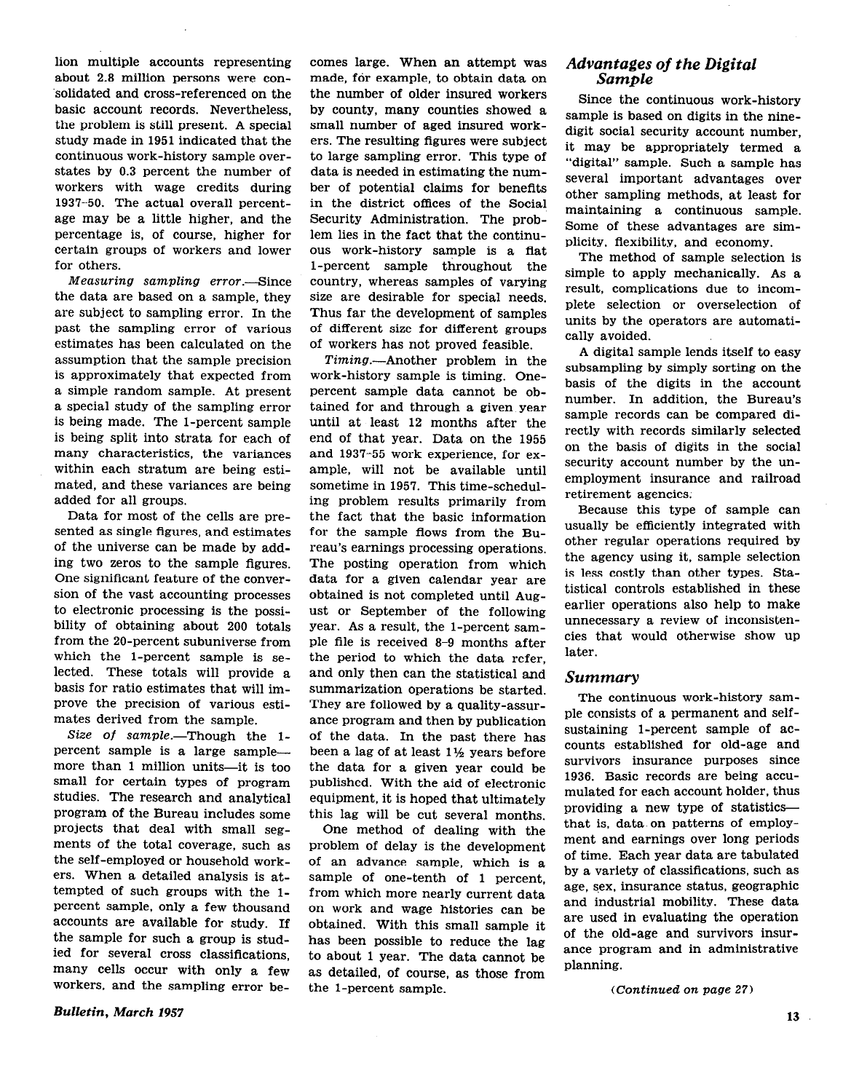lion multiple accounts representing about 2.8 million persons were consolidated and cross-referenced on the basic account records. Nevertheless, the problem is still present. A special study made in 1951 indicated that the continuous work-history sample overstates by 0.3 percent the number of workers with wage credits during 1937-50. The actual overall percentage may be a little higher, and the percentage is, of course, higher for certain groups of workers and lower for others.

Measuring sampling error.---Since the data are based on a sample, they are subject to sampling error. In the past the sampling error of various estimates has been calculated on the assumption that the sample precision is approximately that expected from a simple random sample. At present a special study of the sampling error is being made. The l-percent sample is being split into strata for each of many characteristics, the variances within each stratum are being estimated, and these variances are being added for all groups.

Data for most of the cells are presented as single figures, and estimates of the universe can be made by adding two zeros to the sample figures. One significant feature of the conversion of the vast accounting processes to electronic processing is the possibility of obtaining about 200 totals from the 20-percent subuniverse from which the l-percent sample is selected. These totals will provide a basis for ratio estimates that will improve the precision of various estimates derived from the sample.

Size of sample.—Though the  $1$ percent sample is a large samplemore than 1 million units-it is too small for certain types of program studies. The research and analytical program of the Bureau includes some projects that deal with small segments of the total coverage, such as the self-employed or household workers. When a detailed analysis is attempted of such groups with the l-Percent sample, only a few thousand accounts are available for study. If the sample for such a group is studied for several cross classifications, many cells occur with only a few workers, and the sampling error becomes large. When an attempt was made, for example, to obtain data on the number of older insured workers by county, many counties showed a small number of aged insured workers. The resulting figures were subject to large sampling error. This type of data is needed in estimating the number of potential claims for benefits in the district offices of the Social Security Administration. The problem lies in the fact that the continuous work-history sample is a flat l-percent sample throughout the country, whereas samples of varying size are desirable for special needs. Thus far the development of samples of different size for different groups of workers has not proved feasible.

Timing.--Another problem in the work-history sample is timing. Onepercent sample data cannot be obtained for and through a given year until at least 12 months after the end of that year. Data on the 1955 and 1937-55 work experience, for example, will not be available until sometime in 1957. This time-scheduling problem results primarily from the fact that the basic information for the sample flows from the Bureau's earnings processing operations. The posting operation from which data for a given calendar year are obtained is not completed until August or September of the following year. As a result, the l-percent sample file is received 8-9 months after the period to which the data refer, and only then can the statistical and summarization operations be started. They are followed by a quality-assurance program and then by publication of the data. In the past there has been a lag of at least 1% years before the data for a given year could be published. With the aid of electronic equipment, it is hoped that ultimately this lag will be cut several months.

One method of dealing with the problem of delay is the development of an advance sample, which is a sample of one-tenth of 1 percent. from which more nearly current data on work and wage histories can be obtained. With this small sample it has been possible to reduce the lag to about 1 year. The data cannot be as detailed, of course, as those from the l-percent sample.

## Bulletin, March 1957

Advantages of the Digital Sample

Since the continuous work-history sample is based on digits in the ninedigit social security account number, it may be appropriately termed a "digital" sample. Such a sample has several important advantages over other sampling methods, at least for maintaining a continuous sample. Some of these advantages are simplicity, flexibility, and economy.

The method of sample selection is simple to apply mechanically. As a result, complications due to incomplete selection or overselection of units by the operators are automatically avoided.

A digital sample lends itself to easy subsampling by simply sorting on the basis of the digits in the account number. In addition, the Bureau's sample records can be compared directly with records similarly selected on the basis of digits in the social security account number by the unemployment insurance and railroad retirement agencies.

Because this type of sample can usually be efficiently integrated with other regular operations required by the agency using it, sample selection is less costly than other types. Statistical controls established in these earlier operations also help to make unnecessary a review of inconsistencies that would otherwise show up later.

## Summary

The continuous work-history sample consists of a permanent and selfsustaining l-percent sample of accounts established for old-age and survivors insurance purposes since 1936. Basic records are being accumulated for each account holder, thus providing a new type of statisticsthat is, data on patterns of employment and earnings over long periods of time. Each year data are tabulated by a variety of classifications, such as age, sex. insurance status, geographic and industrial mobility. These data are used in evaluating the operation of the old-age and survivors insurance program and in administrative planning.

(Continued on page 27)